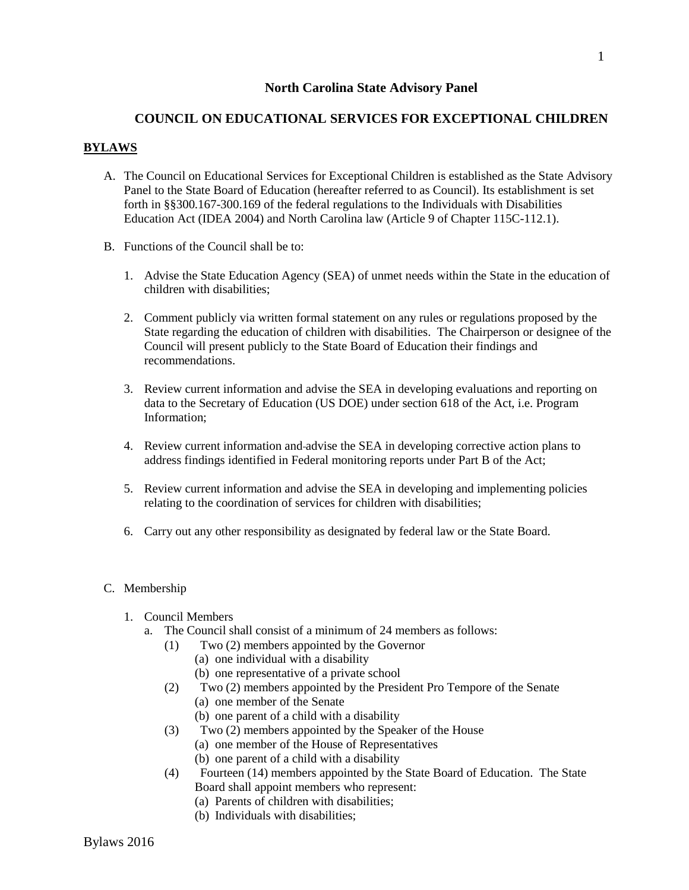## **North Carolina State Advisory Panel**

# **COUNCIL ON EDUCATIONAL SERVICES FOR EXCEPTIONAL CHILDREN**

## **BYLAWS**

- A. The Council on Educational Services for Exceptional Children is established as the State Advisory Panel to the State Board of Education (hereafter referred to as Council). Its establishment is set forth in §§300.167-300.169 of the federal regulations to the Individuals with Disabilities Education Act (IDEA 2004) and North Carolina law (Article 9 of Chapter 115C-112.1).
- B. Functions of the Council shall be to:
	- 1. Advise the State Education Agency (SEA) of unmet needs within the State in the education of children with disabilities;
	- 2. Comment publicly via written formal statement on any rules or regulations proposed by the State regarding the education of children with disabilities. The Chairperson or designee of the Council will present publicly to the State Board of Education their findings and recommendations.
	- 3. Review current information and advise the SEA in developing evaluations and reporting on data to the Secretary of Education (US DOE) under section 618 of the Act, i.e. Program Information;
	- 4. Review current information and advise the SEA in developing corrective action plans to address findings identified in Federal monitoring reports under Part B of the Act;
	- 5. Review current information and advise the SEA in developing and implementing policies relating to the coordination of services for children with disabilities;
	- 6. Carry out any other responsibility as designated by federal law or the State Board.

#### C. Membership

- 1. Council Members
	- a. The Council shall consist of a minimum of 24 members as follows:
		- (1) Two (2) members appointed by the Governor
			- (a) one individual with a disability
				- (b) one representative of a private school
		- (2) Two (2) members appointed by the President Pro Tempore of the Senate
			- (a) one member of the Senate
			- (b) one parent of a child with a disability
		- (3) Two (2) members appointed by the Speaker of the House
			- (a) one member of the House of Representatives
			- (b) one parent of a child with a disability
		- (4) Fourteen (14) members appointed by the State Board of Education. The State Board shall appoint members who represent:
			- (a) Parents of children with disabilities;
			- (b) Individuals with disabilities;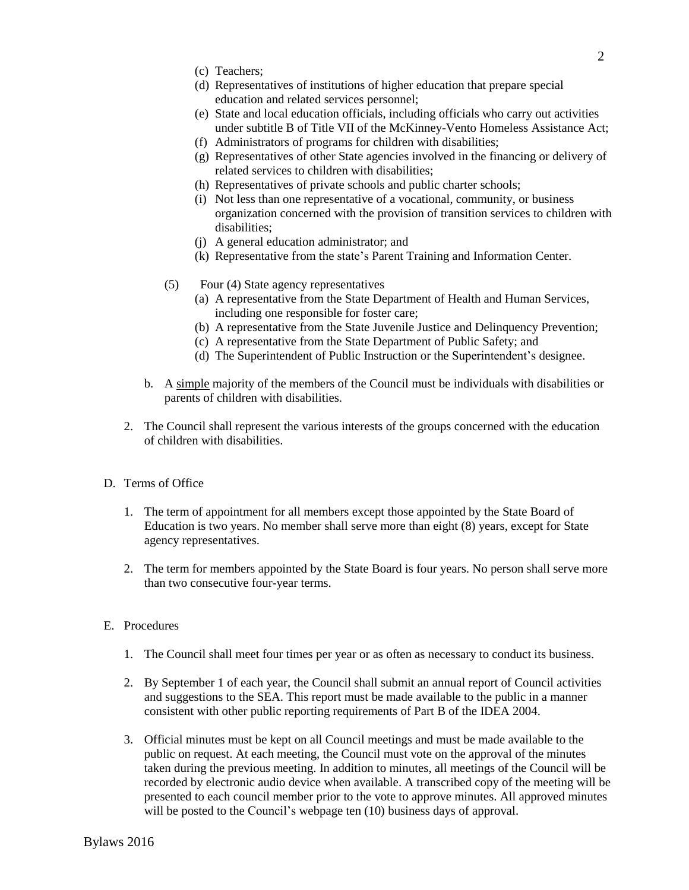- (c) Teachers;
- (d) Representatives of institutions of higher education that prepare special education and related services personnel;
- (e) State and local education officials, including officials who carry out activities under subtitle B of Title VII of the McKinney-Vento Homeless Assistance Act;
- (f) Administrators of programs for children with disabilities;
- (g) Representatives of other State agencies involved in the financing or delivery of related services to children with disabilities;
- (h) Representatives of private schools and public charter schools;
- (i) Not less than one representative of a vocational, community, or business organization concerned with the provision of transition services to children with disabilities;
- (j) A general education administrator; and
- (k) Representative from the state's Parent Training and Information Center.
- (5) Four (4) State agency representatives
	- (a) A representative from the State Department of Health and Human Services, including one responsible for foster care;
	- (b) A representative from the State Juvenile Justice and Delinquency Prevention;
	- (c) A representative from the State Department of Public Safety; and
	- (d) The Superintendent of Public Instruction or the Superintendent's designee.
- b. A simple majority of the members of the Council must be individuals with disabilities or parents of children with disabilities.
- 2. The Council shall represent the various interests of the groups concerned with the education of children with disabilities.
- D. Terms of Office
	- 1. The term of appointment for all members except those appointed by the State Board of Education is two years. No member shall serve more than eight (8) years, except for State agency representatives.
	- 2. The term for members appointed by the State Board is four years. No person shall serve more than two consecutive four-year terms.
- E. Procedures
	- 1. The Council shall meet four times per year or as often as necessary to conduct its business.
	- 2. By September 1 of each year, the Council shall submit an annual report of Council activities and suggestions to the SEA. This report must be made available to the public in a manner consistent with other public reporting requirements of Part B of the IDEA 2004.
	- 3. Official minutes must be kept on all Council meetings and must be made available to the public on request. At each meeting, the Council must vote on the approval of the minutes taken during the previous meeting. In addition to minutes, all meetings of the Council will be recorded by electronic audio device when available. A transcribed copy of the meeting will be presented to each council member prior to the vote to approve minutes. All approved minutes will be posted to the Council's webpage ten (10) business days of approval.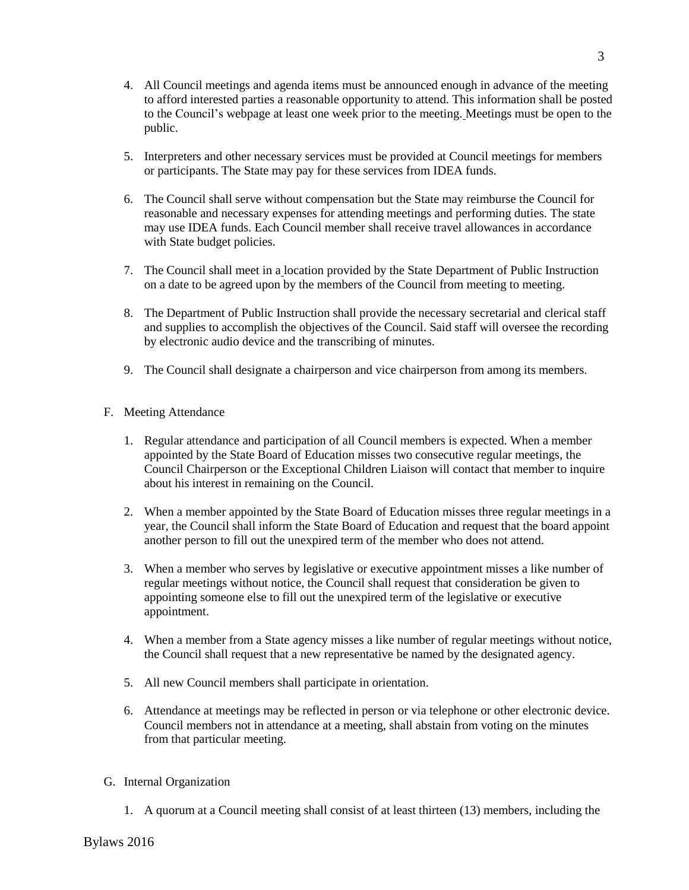- 4. All Council meetings and agenda items must be announced enough in advance of the meeting to afford interested parties a reasonable opportunity to attend. This information shall be posted to the Council's webpage at least one week prior to the meeting. Meetings must be open to the public.
- 5. Interpreters and other necessary services must be provided at Council meetings for members or participants. The State may pay for these services from IDEA funds.
- 6. The Council shall serve without compensation but the State may reimburse the Council for reasonable and necessary expenses for attending meetings and performing duties. The state may use IDEA funds. Each Council member shall receive travel allowances in accordance with State budget policies.
- 7. The Council shall meet in a location provided by the State Department of Public Instruction on a date to be agreed upon by the members of the Council from meeting to meeting.
- 8. The Department of Public Instruction shall provide the necessary secretarial and clerical staff and supplies to accomplish the objectives of the Council. Said staff will oversee the recording by electronic audio device and the transcribing of minutes.
- 9. The Council shall designate a chairperson and vice chairperson from among its members.
- F. Meeting Attendance
	- 1. Regular attendance and participation of all Council members is expected. When a member appointed by the State Board of Education misses two consecutive regular meetings, the Council Chairperson or the Exceptional Children Liaison will contact that member to inquire about his interest in remaining on the Council.
	- 2. When a member appointed by the State Board of Education misses three regular meetings in a year, the Council shall inform the State Board of Education and request that the board appoint another person to fill out the unexpired term of the member who does not attend.
	- 3. When a member who serves by legislative or executive appointment misses a like number of regular meetings without notice, the Council shall request that consideration be given to appointing someone else to fill out the unexpired term of the legislative or executive appointment.
	- 4. When a member from a State agency misses a like number of regular meetings without notice, the Council shall request that a new representative be named by the designated agency.
	- 5. All new Council members shall participate in orientation.
	- 6. Attendance at meetings may be reflected in person or via telephone or other electronic device. Council members not in attendance at a meeting, shall abstain from voting on the minutes from that particular meeting.
- G. Internal Organization
	- 1. A quorum at a Council meeting shall consist of at least thirteen (13) members, including the